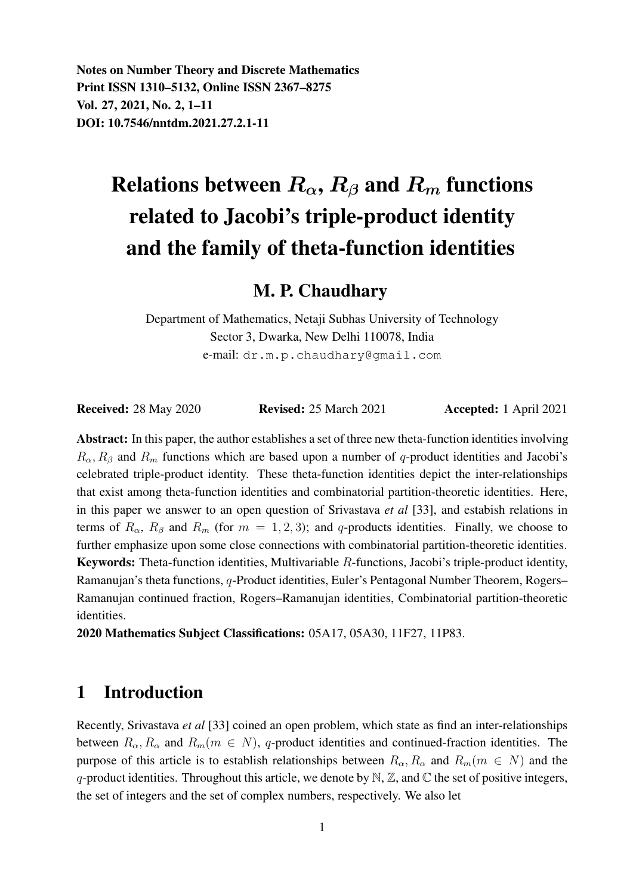Notes on Number Theory and Discrete Mathematics Print ISSN 1310–5132, Online ISSN 2367–8275 Vol. 27, 2021, No. 2, 1–11 DOI: 10.7546/nntdm.2021.27.2.1-11

# Relations between  $R_{\alpha}$ ,  $R_{\beta}$  and  $R_m$  functions related to Jacobi's triple-product identity and the family of theta-function identities

## M. P. Chaudhary

Department of Mathematics, Netaji Subhas University of Technology Sector 3, Dwarka, New Delhi 110078, India e-mail: dr.m.p.chaudhary@gmail.com

Received: 28 May 2020 **Revised: 25 March 2021 Accepted: 1 April 2021** 

Abstract: In this paper, the author establishes a set of three new theta-function identities involving  $R_{\alpha}$ ,  $R_{\beta}$  and  $R_m$  functions which are based upon a number of q-product identities and Jacobi's celebrated triple-product identity. These theta-function identities depict the inter-relationships that exist among theta-function identities and combinatorial partition-theoretic identities. Here, in this paper we answer to an open question of Srivastava *et al* [33], and estabish relations in terms of  $R_{\alpha}$ ,  $R_{\beta}$  and  $R_m$  (for  $m = 1, 2, 3$ ); and q-products identities. Finally, we choose to further emphasize upon some close connections with combinatorial partition-theoretic identities. Keywords: Theta-function identities, Multivariable R-functions, Jacobi's triple-product identity, Ramanujan's theta functions, q-Product identities, Euler's Pentagonal Number Theorem, Rogers– Ramanujan continued fraction, Rogers–Ramanujan identities, Combinatorial partition-theoretic identities.

2020 Mathematics Subject Classifications: 05A17, 05A30, 11F27, 11P83.

### 1 Introduction

Recently, Srivastava *et al* [33] coined an open problem, which state as find an inter-relationships between  $R_{\alpha}, R_{\alpha}$  and  $R_m(m \in N)$ , q-product identities and continued-fraction identities. The purpose of this article is to establish relationships between  $R_{\alpha}, R_{\alpha}$  and  $R_m(m \in N)$  and the q-product identities. Throughout this article, we denote by  $\mathbb{N}, \mathbb{Z}$ , and  $\mathbb{C}$  the set of positive integers, the set of integers and the set of complex numbers, respectively. We also let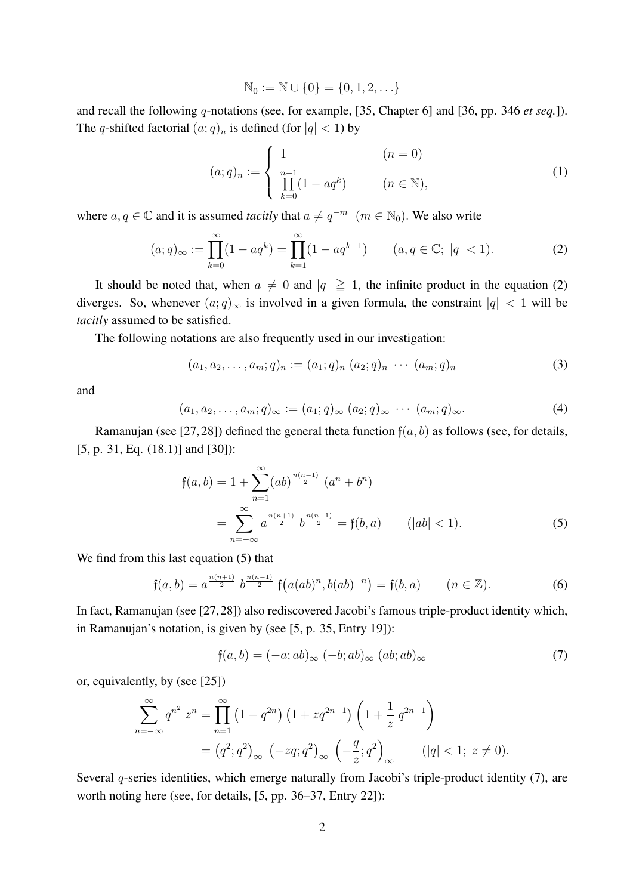$$
\mathbb{N}_0 := \mathbb{N} \cup \{0\} = \{0, 1, 2, \ldots\}
$$

and recall the following q-notations (see, for example, [35, Chapter 6] and [36, pp. 346 *et seq.*]). The q-shifted factorial  $(a;q)_n$  is defined (for  $|q| < 1$ ) by

$$
(a;q)_n := \begin{cases} 1 & (n = 0) \\ \prod_{k=0}^{n-1} (1 - aq^k) & (n \in \mathbb{N}), \end{cases}
$$
 (1)

where  $a, q \in \mathbb{C}$  and it is assumed *tacitly* that  $a \neq q^{-m}$   $(m \in \mathbb{N}_0)$ . We also write

$$
(a;q)_{\infty} := \prod_{k=0}^{\infty} (1 - aq^k) = \prod_{k=1}^{\infty} (1 - aq^{k-1}) \qquad (a,q \in \mathbb{C}; \ |q| < 1). \tag{2}
$$

It should be noted that, when  $a \neq 0$  and  $|q| \geq 1$ , the infinite product in the equation (2) diverges. So, whenever  $(a;q)_{\infty}$  is involved in a given formula, the constraint  $|q| < 1$  will be *tacitly* assumed to be satisfied.

The following notations are also frequently used in our investigation:

$$
(a_1, a_2, \dots, a_m; q)_n := (a_1; q)_n (a_2; q)_n \cdots (a_m; q)_n
$$
 (3)

and

$$
(a_1, a_2, \dots, a_m; q)_{\infty} := (a_1; q)_{\infty} (a_2; q)_{\infty} \cdots (a_m; q)_{\infty}.
$$
 (4)

Ramanujan (see [27, 28]) defined the general theta function  $f(a, b)$  as follows (see, for details, [5, p. 31, Eq. (18.1)] and [30]):

$$
\mathfrak{f}(a,b) = 1 + \sum_{n=1}^{\infty} (ab)^{\frac{n(n-1)}{2}} (a^n + b^n)
$$
  
= 
$$
\sum_{n=-\infty}^{\infty} a^{\frac{n(n+1)}{2}} b^{\frac{n(n-1)}{2}} = \mathfrak{f}(b,a) \qquad (|ab| < 1).
$$
 (5)

We find from this last equation (5) that

$$
\mathfrak{f}(a,b) = a^{\frac{n(n+1)}{2}} b^{\frac{n(n-1)}{2}} \mathfrak{f}\big(a(ab)^n, b(ab)^{-n}\big) = \mathfrak{f}(b,a) \qquad (n \in \mathbb{Z}). \tag{6}
$$

In fact, Ramanujan (see [27,28]) also rediscovered Jacobi's famous triple-product identity which, in Ramanujan's notation, is given by (see [5, p. 35, Entry 19]):

$$
\mathfrak{f}(a,b) = (-a; ab)_{\infty} (-b; ab)_{\infty} (ab; ab)_{\infty}
$$
 (7)

or, equivalently, by (see [25])

$$
\sum_{n=-\infty}^{\infty} q^{n^2} z^n = \prod_{n=1}^{\infty} (1 - q^{2n}) (1 + zq^{2n-1}) \left( 1 + \frac{1}{z} q^{2n-1} \right)
$$
  
=  $(q^2; q^2)_{\infty} (-zq; q^2)_{\infty} \left( -\frac{q}{z}; q^2 \right)_{\infty}$   $(|q| < 1; z \neq 0).$ 

Several q-series identities, which emerge naturally from Jacobi's triple-product identity (7), are worth noting here (see, for details, [5, pp. 36–37, Entry 22]):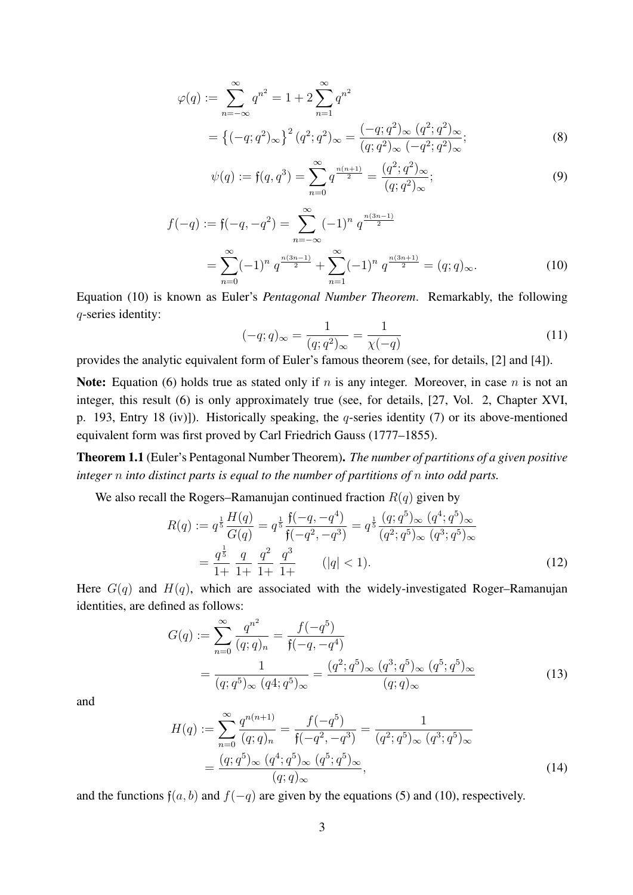$$
\varphi(q) := \sum_{n=-\infty}^{\infty} q^{n^2} = 1 + 2 \sum_{n=1}^{\infty} q^{n^2}
$$
  
=  $\{(-q; q^2)_{\infty}\}^2 (q^2; q^2)_{\infty} = \frac{(-q; q^2)_{\infty} (q^2; q^2)_{\infty}}{(q; q^2)_{\infty} (-q^2; q^2)_{\infty}};$  (8)

$$
\psi(q) := \mathfrak{f}(q, q^3) = \sum_{n=0}^{\infty} q^{\frac{n(n+1)}{2}} = \frac{(q^2; q^2)_{\infty}}{(q; q^2)_{\infty}};
$$
\n(9)

$$
f(-q) := f(-q, -q^2) = \sum_{n=-\infty}^{\infty} (-1)^n q^{\frac{n(3n-1)}{2}}
$$
  
= 
$$
\sum_{n=0}^{\infty} (-1)^n q^{\frac{n(3n-1)}{2}} + \sum_{n=1}^{\infty} (-1)^n q^{\frac{n(3n+1)}{2}} = (q; q)_{\infty}.
$$
 (10)

Equation (10) is known as Euler's *Pentagonal Number Theorem*. Remarkably, the following q-series identity:

$$
(-q;q)_{\infty} = \frac{1}{(q;q^2)_{\infty}} = \frac{1}{\chi(-q)}
$$
\n(11)

provides the analytic equivalent form of Euler's famous theorem (see, for details, [2] and [4]).

Note: Equation (6) holds true as stated only if n is any integer. Moreover, in case n is not an integer, this result (6) is only approximately true (see, for details, [27, Vol. 2, Chapter XVI, p. 193, Entry 18 (iv)]). Historically speaking, the q-series identity (7) or its above-mentioned equivalent form was first proved by Carl Friedrich Gauss (1777–1855).

Theorem 1.1 (Euler's Pentagonal Number Theorem). *The number of partitions of a given positive integer* n *into distinct parts is equal to the number of partitions of* n *into odd parts.*

We also recall the Rogers–Ramanujan continued fraction  $R(q)$  given by

$$
R(q) := q^{\frac{1}{5}} \frac{H(q)}{G(q)} = q^{\frac{1}{5}} \frac{\mathfrak{f}(-q, -q^4)}{\mathfrak{f}(-q^2, -q^3)} = q^{\frac{1}{5}} \frac{(q; q^5)_{\infty} (q^4; q^5)_{\infty}}{(q^2; q^5)_{\infty} (q^3; q^5)_{\infty}}
$$

$$
= \frac{q^{\frac{1}{5}}}{1+} \frac{q}{1+} \frac{q^2}{1+} \frac{q^3}{1+} \qquad (|q| < 1). \tag{12}
$$

Here  $G(q)$  and  $H(q)$ , which are associated with the widely-investigated Roger–Ramanujan identities, are defined as follows:

$$
G(q) := \sum_{n=0}^{\infty} \frac{q^{n^2}}{(q;q)_n} = \frac{f(-q^5)}{\mathfrak{f}(-q,-q^4)}
$$
  
= 
$$
\frac{1}{(q;q^5)_{\infty} (q^4;q^5)_{\infty}} = \frac{(q^2;q^5)_{\infty} (q^3;q^5)_{\infty} (q^5;q^5)_{\infty}}{(q;q)_{\infty}}
$$
(13)

and

$$
H(q) := \sum_{n=0}^{\infty} \frac{q^{n(n+1)}}{(q;q)_n} = \frac{f(-q^5)}{\mathfrak{f}(-q^2,-q^3)} = \frac{1}{(q^2;q^5)_{\infty} (q^3;q^5)_{\infty}}
$$

$$
= \frac{(q;q^5)_{\infty} (q^4;q^5)_{\infty} (q^5;q^5)_{\infty}}{(q;q)_{\infty}},
$$
(14)

and the functions  $f(a, b)$  and  $f(-q)$  are given by the equations (5) and (10), respectively.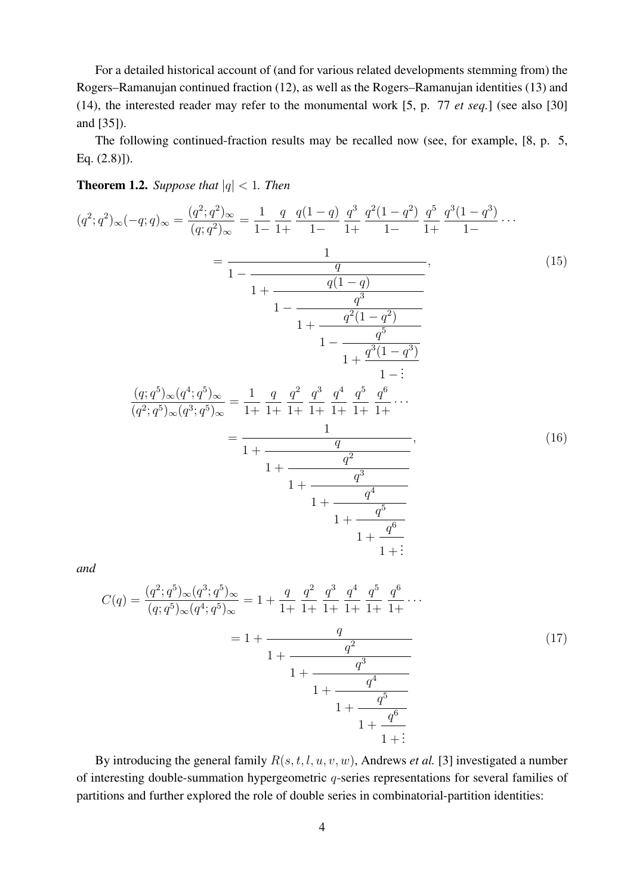For a detailed historical account of (and for various related developments stemming from) the Rogers–Ramanujan continued fraction (12), as well as the Rogers–Ramanujan identities (13) and (14), the interested reader may refer to the monumental work [5, p. 77 *et seq.*] (see also [30] and [35]).

The following continued-fraction results may be recalled now (see, for example, [8, p. 5, Eq. (2.8)]).

**Theorem 1.2.** *Suppose that*  $|q| < 1$ *. Then* 

$$
(q^{2};q^{2})_{\infty}(-q;q)_{\infty} = \frac{(q^{2};q^{2})_{\infty}}{(q;q^{2})_{\infty}} = \frac{1}{1-} \frac{q}{1+} \frac{q(1-q)}{1-} \frac{q^{3}}{1+} \frac{q^{2}(1-q^{2})}{1-} \frac{q^{5}}{1+} \frac{q^{3}(1-q^{3})}{1-} \cdots
$$
\n
$$
= \frac{1}{1- \frac{q}{1+} \frac{q(1-q)}{1-q^{3}}}
$$
\n
$$
\frac{1}{1-} \frac{q^{2}(1-q^{2})}{1- \frac{q^{5}}{1+} \frac{q^{3}(1-q^{3})}{1-} \frac{1}{1+} \frac{q^{3}(1-q^{3})}{1-} \cdots}
$$
\n
$$
\frac{(q;q^{5})_{\infty}(q^{4};q^{5})_{\infty}}{(q^{2};q^{5})_{\infty}(q^{3};q^{5})_{\infty}} = \frac{1}{1+} \frac{q}{1+} \frac{q^{2}}{1+} \frac{q^{3}}{1+} \frac{q^{4}}{1+} \frac{q^{5}}{1+} \frac{q^{6}}{1+} \cdots
$$
\n
$$
= \frac{1}{1+ \frac{q^{2}}{1+} \frac{q^{3}}{1+} \frac{q^{4}}{1+} \frac{q^{5}}{1+} \frac{q^{4}}{1+} \cdots}
$$
\n
$$
(16)
$$

*and*

$$
C(q) = \frac{(q^2; q^5)_{\infty} (q^3; q^5)_{\infty}}{(q; q^5)_{\infty} (q^4; q^5)_{\infty}} = 1 + \frac{q}{1+} \frac{q^2}{1+} \frac{q^3}{1+} \frac{q^4}{1+} \frac{q^5}{1+} \frac{q^6}{1+} \cdots
$$
  

$$
= 1 + \frac{q}{1+} \frac{q^2}{1+} \frac{q^3}{1+} \frac{q^4}{1+} \cdots
$$
  

$$
1+ \frac{q^3}{1+} \frac{q^4}{1+} \frac{q^5}{1+} \frac{q^6}{1+} \cdots
$$
  
(17)

By introducing the general family R(s, t, l, u, v, w), Andrews *et al.* [3] investigated a number of interesting double-summation hypergeometric q-series representations for several families of partitions and further explored the role of double series in combinatorial-partition identities: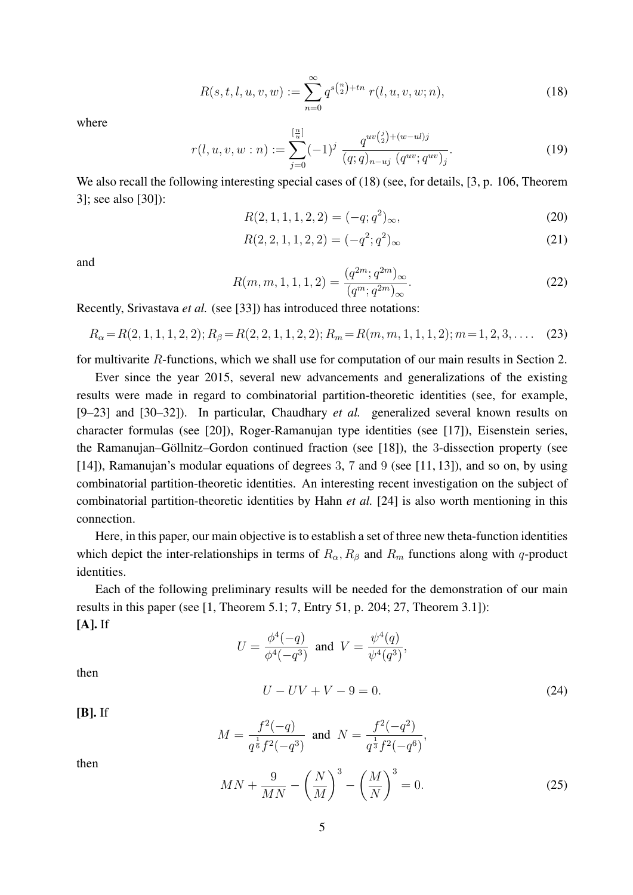$$
R(s, t, l, u, v, w) := \sum_{n=0}^{\infty} q^{s{n \choose 2} + tn} r(l, u, v, w; n),
$$
\n(18)

where

$$
r(l, u, v, w:n) := \sum_{j=0}^{\left[\frac{n}{u}\right]} (-1)^j \frac{q^{uv\binom{j}{2} + (w - ul)j}}{(q;q)_{n-uj} (q^{uv}; q^{uv})_j}.
$$
 (19)

We also recall the following interesting special cases of (18) (see, for details, [3, p. 106, Theorem 3]; see also [30]):

$$
R(2, 1, 1, 1, 2, 2) = (-q; q^2)_{\infty},
$$
\n(20)

$$
R(2,2,1,1,2,2) = (-q^2;q^2)_{\infty}
$$
\n(21)

and

$$
R(m, m, 1, 1, 1, 2) = \frac{(q^{2m}; q^{2m})_{\infty}}{(q^m; q^{2m})_{\infty}}.
$$
\n(22)

Recently, Srivastava *et al.* (see [33]) has introduced three notations:

 $R_{\alpha} = R(2, 1, 1, 1, 2, 2); R_{\beta} = R(2, 2, 1, 1, 2, 2); R_m = R(m, m, 1, 1, 1, 2); m = 1, 2, 3, \dots$  (23)

for multivarite R-functions, which we shall use for computation of our main results in Section 2.

Ever since the year 2015, several new advancements and generalizations of the existing results were made in regard to combinatorial partition-theoretic identities (see, for example, [9–23] and [30–32]). In particular, Chaudhary *et al.* generalized several known results on character formulas (see [20]), Roger-Ramanujan type identities (see [17]), Eisenstein series, the Ramanujan–Göllnitz–Gordon continued fraction (see [18]), the 3-dissection property (see [14]), Ramanujan's modular equations of degrees 3, 7 and 9 (see [11, 13]), and so on, by using combinatorial partition-theoretic identities. An interesting recent investigation on the subject of combinatorial partition-theoretic identities by Hahn *et al.* [24] is also worth mentioning in this connection.

Here, in this paper, our main objective is to establish a set of three new theta-function identities which depict the inter-relationships in terms of  $R_{\alpha}$ ,  $R_{\beta}$  and  $R_m$  functions along with q-product identities.

Each of the following preliminary results will be needed for the demonstration of our main results in this paper (see  $[1,$  Theorem 5.1; 7, Entry 51, p. 204; 27, Theorem 3.1]): [A]. If

$$
U = \frac{\phi^4(-q)}{\phi^4(-q^3)}
$$
 and  $V = \frac{\psi^4(q)}{\psi^4(q^3)}$ ,

then

$$
U - UV + V - 9 = 0.
$$
 (24)

[B]. If

$$
M = \frac{f^2(-q)}{q^{\frac{1}{6}}f^2(-q^3)} \text{ and } N = \frac{f^2(-q^2)}{q^{\frac{1}{3}}f^2(-q^6)},
$$

then

$$
MN + \frac{9}{MN} - \left(\frac{N}{M}\right)^3 - \left(\frac{M}{N}\right)^3 = 0.
$$
\n(25)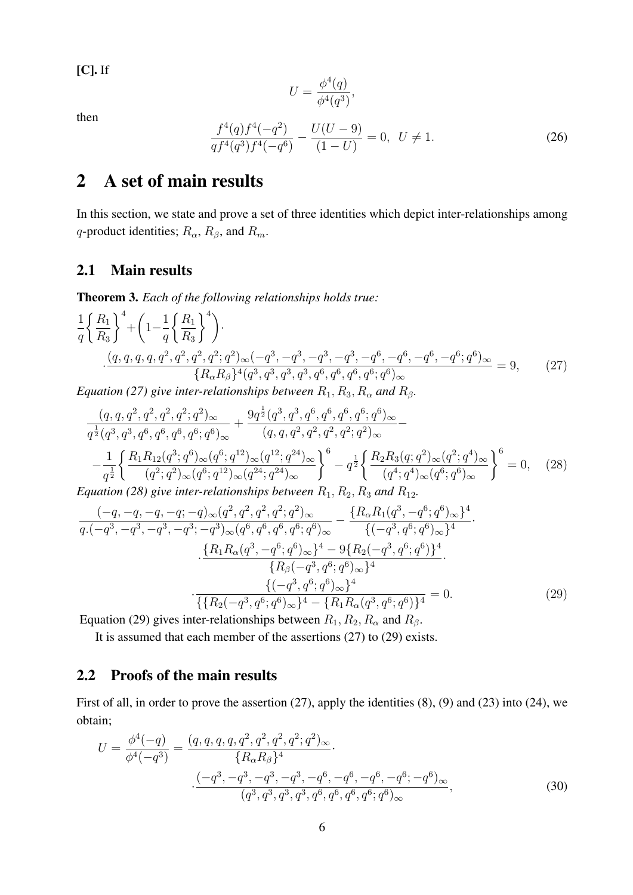$[C]$ . If

$$
U = \frac{\phi^4(q)}{\phi^4(q^3)},
$$

then

$$
\frac{f^4(q)f^4(-q^2)}{qf^4(q^3)f^4(-q^6)} - \frac{U(U-9)}{(1-U)} = 0, \ \ U \neq 1.
$$
\n(26)

## 2 A set of main results

In this section, we state and prove a set of three identities which depict inter-relationships among q-product identities;  $R_{\alpha}$ ,  $R_{\beta}$ , and  $R_m$ .

#### 2.1 Main results

Theorem 3. *Each of the following relationships holds true:*

$$
\frac{1}{q} \left\{ \frac{R_1}{R_3} \right\}^4 + \left( 1 - \frac{1}{q} \left\{ \frac{R_1}{R_3} \right\}^4 \right).
$$
\n
$$
\frac{(q, q, q, q, q^2, q^2, q^2, q^2; q^2)_{\infty}(-q^3, -q^3, -q^3, -q^6, -q^6, -q^6, -q^6; q^6)_{\infty}}{\{R_{\alpha}R_{\beta}\}^4(q^3, q^3, q^3, q^3, q^6, q^6, q^6, q^6; q^6)_{\infty}} = 9, \qquad (27)
$$

*Equation (27) give inter-relationships between*  $R_1, R_3, R_\alpha$  *and*  $R_\beta$ *.* 

$$
\frac{(q, q, q^2, q^2, q^2, q^2)_{\infty}}{q^{\frac{1}{2}}(q^3, q^3, q^6, q^6, q^6, q^6)_{\infty}} + \frac{9q^{\frac{1}{2}}(q^3, q^3, q^6, q^6, q^6, q^6; q^6)_{\infty}}{(q, q, q^2, q^2, q^2, q^2)_{\infty}} - \frac{1}{q^{\frac{1}{2}}}\left\{\frac{R_1R_{12}(q^3, q^6)_{\infty}(q^6, q^{12})_{\infty}(q^{12}, q^{24})_{\infty}}{(q^2, q^2)_{\infty}(q^6, q^{12})_{\infty}(q^{24}, q^{24})_{\infty}}\right\}^6 - q^{\frac{1}{2}}\left\{\frac{R_2R_3(q; q^2)_{\infty}(q^2, q^4)_{\infty}}{(q^4, q^4)_{\infty}(q^6, q^6)_{\infty}}\right\}^6 = 0, \quad (28)
$$
\nquation (28) give inter relationships between R, R, R, and R.

*Equation (28) give inter-relationships between*  $R_1, R_2, R_3$  *and*  $R_{12}$ *.* 

$$
\frac{(-q, -q, -q, -q; -q)\infty(q^2, q^2, q^2; q^2)\infty}{q \cdot (-q^3, -q^3, -q^3, -q^3; -q^3)\infty(q^6, q^6, q^6, q^6; q^6)\infty} - \frac{\{R_\alpha R_1(q^3, -q^6; q^6)\infty\}^4}{\{(-q^3, q^6; q^6)\infty\}^4} \cdot \frac{\{R_1 R_\alpha(q^3, -q^6; q^6)\infty\}^4 - 9\{R_2(-q^3, q^6; q^6)\}^4}{\{R_\beta(-q^3, q^6; q^6)\infty\}^4} \cdot \frac{\{(-q^3, q^6; q^6)\infty\}^4}{\{R_2(-q^3, q^6; q^6)\infty\}^4}}{(\{R_2(-q^3, q^6; q^6)\infty\}^4 - \{R_1 R_\alpha(q^3, q^6; q^6)\}^4)} = 0.
$$
\n(29)

Equation (29) gives inter-relationships between  $R_1, R_2, R_\alpha$  and  $R_\beta$ .

It is assumed that each member of the assertions (27) to (29) exists.

#### 2.2 Proofs of the main results

First of all, in order to prove the assertion (27), apply the identities (8), (9) and (23) into (24), we obtain;

$$
U = \frac{\phi^4(-q)}{\phi^4(-q^3)} = \frac{(q, q, q, q^2, q^2, q^2, q^2; q^2)_{\infty}}{\{R_{\alpha}R_{\beta}\}^4}.
$$

$$
\frac{(-q^3, -q^3, -q^3, -q^3, -q^6, -q^6, -q^6, -q^6; -q^6)_{\infty}}{(q^3, q^3, q^3, q^3, q^6, q^6, q^6, q^6; q^6)_{\infty}},
$$
(30)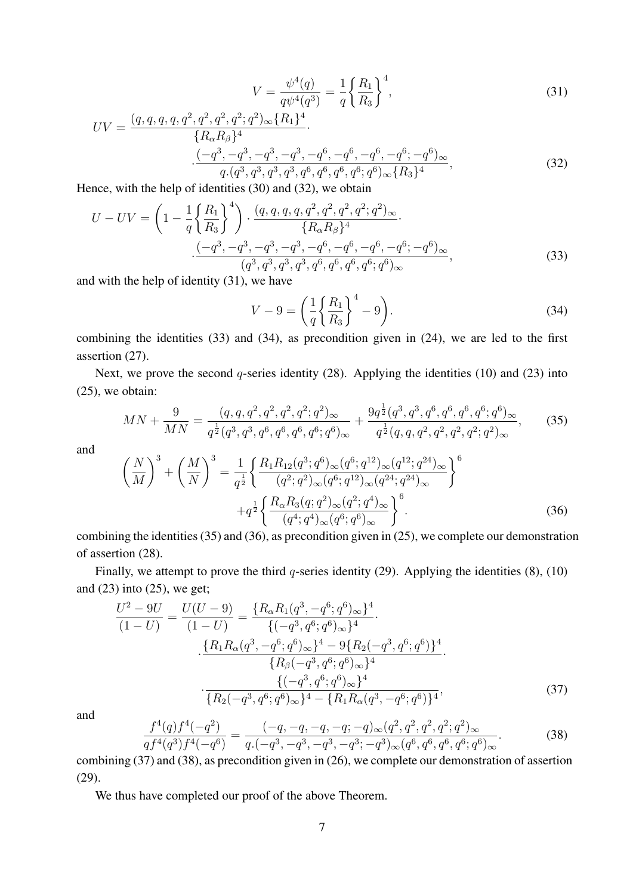$$
V = \frac{\psi^4(q)}{q\psi^4(q^3)} = \frac{1}{q} \left\{ \frac{R_1}{R_3} \right\}^4,\tag{31}
$$

$$
UV = \frac{(q, q, q, q, q^2, q^2, q^2, q^2; q^2)_{\infty} \{R_1\}^4}{\{R_{\alpha}R_{\beta}\}^4}.
$$
  

$$
\frac{(-q^3, -q^3, -q^3, -q^3, -q^6, -q^6, -q^6, -q^6; -q^6)_{\infty}}{q.(q^3, q^3, q^3, q^3, q^6, q^6, q^6, q^6; q^6)_{\infty} \{R_3\}^4},
$$
(32)

Hence, with the help of identities (30) and (32), we obtain

$$
U - UV = \left(1 - \frac{1}{q} \left\{\frac{R_1}{R_3}\right\}^4\right) \cdot \frac{(q, q, q, q^2, q^2, q^2, q^2; q^2)_{\infty}}{\{R_{\alpha}R_{\beta}\}^4} \cdot \frac{(-q^3, -q^3, -q^3, -q^3, -q^6, -q^6, -q^6, -q^6; -q^6)_{\infty}}{(q^3, q^3, q^3, q^3, q^6, q^6, q^6, q^6; q^6)_{\infty}},\tag{33}
$$

and with the help of identity (31), we have

$$
V - 9 = \left(\frac{1}{q} \left\{ \frac{R_1}{R_3} \right\}^4 - 9\right). \tag{34}
$$

combining the identities (33) and (34), as precondition given in (24), we are led to the first assertion (27).

Next, we prove the second  $q$ -series identity (28). Applying the identities (10) and (23) into (25), we obtain:

$$
MN + \frac{9}{MN} = \frac{(q, q, q^2, q^2, q^2, q^2; q^2)_{\infty}}{q^{\frac{1}{2}}(q^3, q^3, q^6, q^6, q^6; q^6)_{\infty}} + \frac{9q^{\frac{1}{2}}(q^3, q^3, q^6, q^6, q^6, q^6; q^6)_{\infty}}{q^{\frac{1}{2}}(q, q, q^2, q^2, q^2, q^2; q^2)_{\infty}},
$$
(35)

and

$$
\left(\frac{N}{M}\right)^3 + \left(\frac{M}{N}\right)^3 = \frac{1}{q^{\frac{1}{2}}} \left\{ \frac{R_1 R_{12}(q^3; q^6)_{\infty} (q^6; q^{12})_{\infty} (q^{12}; q^{24})_{\infty}}{(q^2; q^2)_{\infty} (q^6; q^{12})_{\infty} (q^{24}; q^{24})_{\infty}} \right\}^6 + q^{\frac{1}{2}} \left\{ \frac{R_{\alpha} R_3(q; q^2)_{\infty} (q^2; q^4)_{\infty}}{(q^4; q^4)_{\infty} (q^6; q^6)_{\infty}} \right\}^6.
$$
\n(36)

combining the identities (35) and (36), as precondition given in (25), we complete our demonstration of assertion (28).

Finally, we attempt to prove the third q-series identity (29). Applying the identities  $(8)$ ,  $(10)$ and  $(23)$  into  $(25)$ , we get;

$$
\frac{U^2 - 9U}{(1 - U)} = \frac{U(U - 9)}{(1 - U)} = \frac{\{R_{\alpha}R_1(q^3, -q^6; q^6)_{\infty}\}^4}{\{(-q^3, q^6; q^6)_{\infty}\}^4}.
$$

$$
\frac{\{R_1R_{\alpha}(q^3, -q^6; q^6)_{\infty}\}^4 - 9\{R_2(-q^3, q^6; q^6)\}^4}{\{R_{\beta}(-q^3, q^6; q^6)_{\infty}\}^4}.
$$

$$
\frac{\{(-q^3, q^6; q^6)_{\infty}\}^4}{\{R_2(-q^3, q^6; q^6)_{\infty}\}^4 - \{R_1R_{\alpha}(q^3, -q^6; q^6)\}^4},
$$
(37)

and

$$
\frac{f^4(q)f^4(-q^2)}{qf^4(q^3)f^4(-q^6)} = \frac{(-q, -q, -q, -q; -q)_{\infty}(q^2, q^2, q^2, q^2; q^2)_{\infty}}{q \cdot (-q^3, -q^3, -q^3, -q^3; -q^3)_{\infty}(q^6, q^6, q^6, q^6; q^6)_{\infty}}.
$$
\n(38)

combining (37) and (38), as precondition given in (26), we complete our demonstration of assertion (29).

We thus have completed our proof of the above Theorem.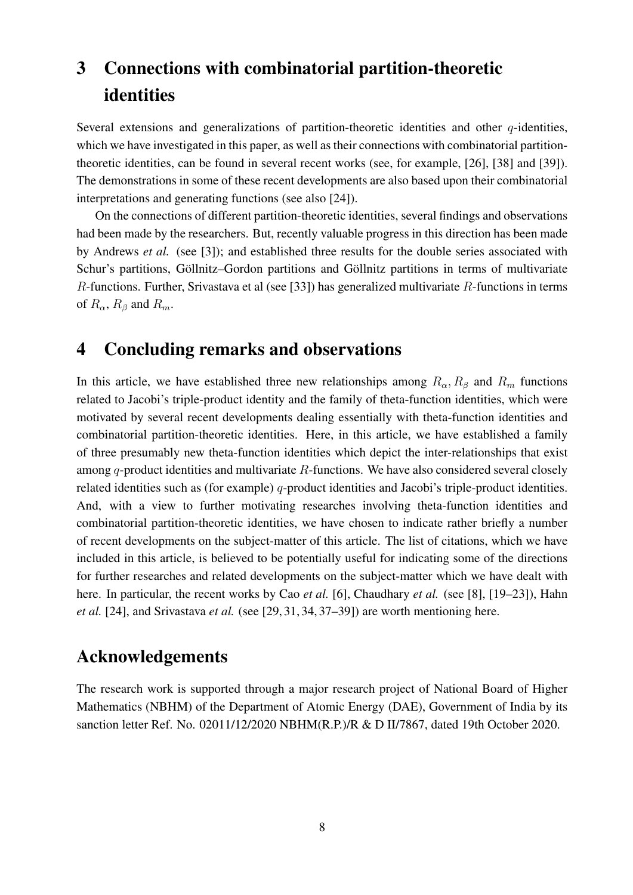## 3 Connections with combinatorial partition-theoretic identities

Several extensions and generalizations of partition-theoretic identities and other  $q$ -identities, which we have investigated in this paper, as well as their connections with combinatorial partitiontheoretic identities, can be found in several recent works (see, for example, [26], [38] and [39]). The demonstrations in some of these recent developments are also based upon their combinatorial interpretations and generating functions (see also [24]).

On the connections of different partition-theoretic identities, several findings and observations had been made by the researchers. But, recently valuable progress in this direction has been made by Andrews *et al.* (see [3]); and established three results for the double series associated with Schur's partitions, Göllnitz–Gordon partitions and Göllnitz partitions in terms of multivariate R-functions. Further, Srivastava et al (see [33]) has generalized multivariate R-functions in terms of  $R_{\alpha}$ ,  $R_{\beta}$  and  $R_m$ .

## 4 Concluding remarks and observations

In this article, we have established three new relationships among  $R_{\alpha}$ ,  $R_{\beta}$  and  $R_m$  functions related to Jacobi's triple-product identity and the family of theta-function identities, which were motivated by several recent developments dealing essentially with theta-function identities and combinatorial partition-theoretic identities. Here, in this article, we have established a family of three presumably new theta-function identities which depict the inter-relationships that exist among  $q$ -product identities and multivariate  $R$ -functions. We have also considered several closely related identities such as (for example) q-product identities and Jacobi's triple-product identities. And, with a view to further motivating researches involving theta-function identities and combinatorial partition-theoretic identities, we have chosen to indicate rather briefly a number of recent developments on the subject-matter of this article. The list of citations, which we have included in this article, is believed to be potentially useful for indicating some of the directions for further researches and related developments on the subject-matter which we have dealt with here. In particular, the recent works by Cao *et al.* [6], Chaudhary *et al.* (see [8], [19–23]), Hahn *et al.* [24], and Srivastava *et al.* (see [29, 31, 34, 37–39]) are worth mentioning here.

## Acknowledgements

The research work is supported through a major research project of National Board of Higher Mathematics (NBHM) of the Department of Atomic Energy (DAE), Government of India by its sanction letter Ref. No. 02011/12/2020 NBHM(R.P.)/R & D II/7867, dated 19th October 2020.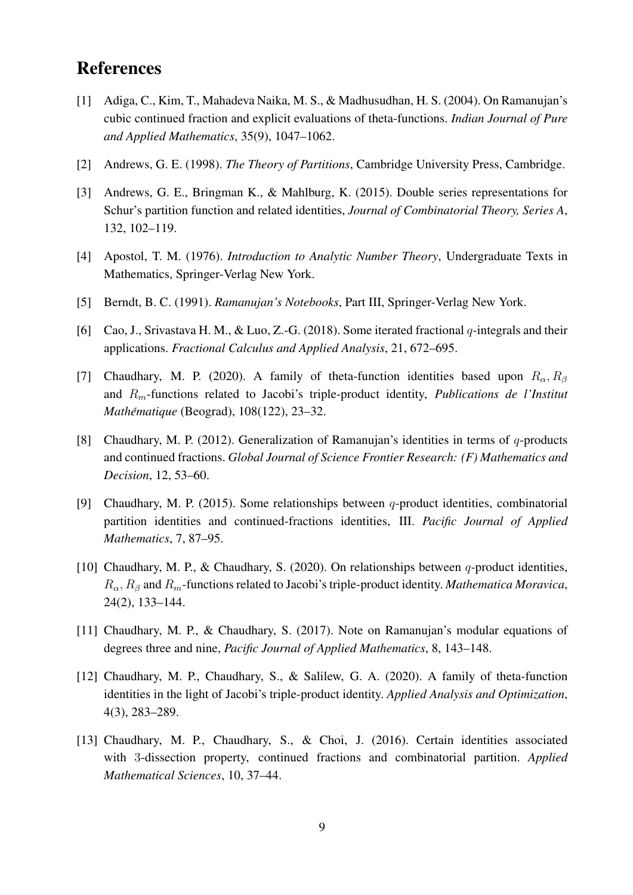## References

- [1] Adiga, C., Kim, T., Mahadeva Naika, M. S., & Madhusudhan, H. S. (2004). On Ramanujan's cubic continued fraction and explicit evaluations of theta-functions. *Indian Journal of Pure and Applied Mathematics*, 35(9), 1047–1062.
- [2] Andrews, G. E. (1998). *The Theory of Partitions*, Cambridge University Press, Cambridge.
- [3] Andrews, G. E., Bringman K., & Mahlburg, K. (2015). Double series representations for Schur's partition function and related identities, *Journal of Combinatorial Theory, Series A*, 132, 102–119.
- [4] Apostol, T. M. (1976). *Introduction to Analytic Number Theory*, Undergraduate Texts in Mathematics, Springer-Verlag New York.
- [5] Berndt, B. C. (1991). *Ramanujan's Notebooks*, Part III, Springer-Verlag New York.
- [6] Cao, J., Srivastava H. M., & Luo, Z.-G. (2018). Some iterated fractional  $q$ -integrals and their applications. *Fractional Calculus and Applied Analysis*, 21, 672–695.
- [7] Chaudhary, M. P. (2020). A family of theta-function identities based upon  $R_{\alpha}$ ,  $R_{\beta}$ and Rm-functions related to Jacobi's triple-product identity, *Publications de l'Institut Mathematique ´* (Beograd), 108(122), 23–32.
- [8] Chaudhary, M. P. (2012). Generalization of Ramanujan's identities in terms of  $q$ -products and continued fractions. *Global Journal of Science Frontier Research: (F) Mathematics and Decision*, 12, 53–60.
- [9] Chaudhary, M. P. (2015). Some relationships between q-product identities, combinatorial partition identities and continued-fractions identities, III. *Pacific Journal of Applied Mathematics*, 7, 87–95.
- [10] Chaudhary, M. P., & Chaudhary, S. (2020). On relationships between q-product identities,  $R_{\alpha}$ ,  $R_{\beta}$  and  $R_m$ -functions related to Jacobi's triple-product identity. *Mathematica Moravica*, 24(2), 133–144.
- [11] Chaudhary, M. P., & Chaudhary, S. (2017). Note on Ramanujan's modular equations of degrees three and nine, *Pacific Journal of Applied Mathematics*, 8, 143–148.
- [12] Chaudhary, M. P., Chaudhary, S., & Salilew, G. A. (2020). A family of theta-function identities in the light of Jacobi's triple-product identity. *Applied Analysis and Optimization*, 4(3), 283–289.
- [13] Chaudhary, M. P., Chaudhary, S., & Choi, J. (2016). Certain identities associated with 3-dissection property, continued fractions and combinatorial partition. *Applied Mathematical Sciences*, 10, 37–44.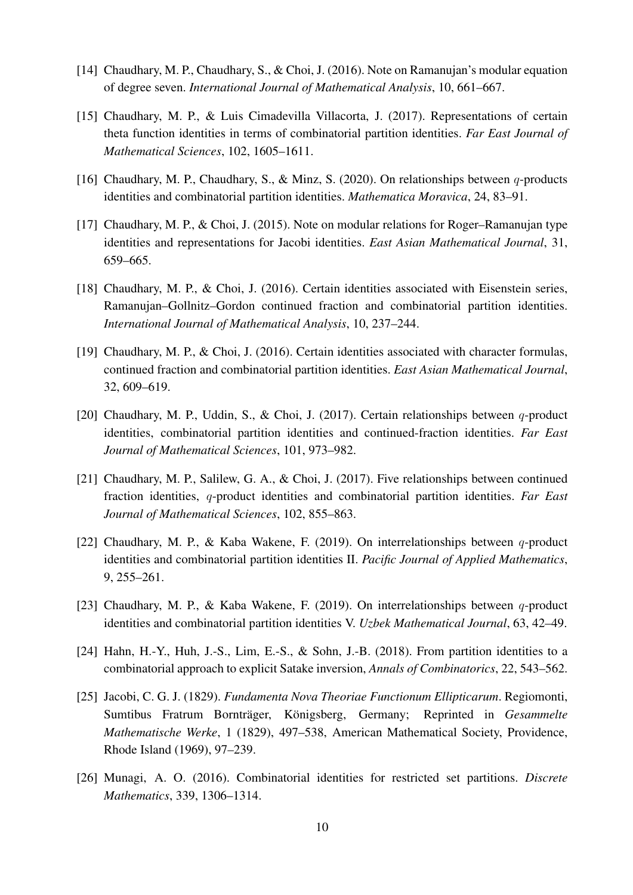- [14] Chaudhary, M. P., Chaudhary, S., & Choi, J. (2016). Note on Ramanujan's modular equation of degree seven. *International Journal of Mathematical Analysis*, 10, 661–667.
- [15] Chaudhary, M. P., & Luis Cimadevilla Villacorta, J. (2017). Representations of certain theta function identities in terms of combinatorial partition identities. *Far East Journal of Mathematical Sciences*, 102, 1605–1611.
- [16] Chaudhary, M. P., Chaudhary, S., & Minz, S. (2020). On relationships between q-products identities and combinatorial partition identities. *Mathematica Moravica*, 24, 83–91.
- [17] Chaudhary, M. P., & Choi, J. (2015). Note on modular relations for Roger–Ramanujan type identities and representations for Jacobi identities. *East Asian Mathematical Journal*, 31, 659–665.
- [18] Chaudhary, M. P., & Choi, J. (2016). Certain identities associated with Eisenstein series, Ramanujan–Gollnitz–Gordon continued fraction and combinatorial partition identities. *International Journal of Mathematical Analysis*, 10, 237–244.
- [19] Chaudhary, M. P., & Choi, J. (2016). Certain identities associated with character formulas, continued fraction and combinatorial partition identities. *East Asian Mathematical Journal*, 32, 609–619.
- [20] Chaudhary, M. P., Uddin, S., & Choi, J. (2017). Certain relationships between q-product identities, combinatorial partition identities and continued-fraction identities. *Far East Journal of Mathematical Sciences*, 101, 973–982.
- [21] Chaudhary, M. P., Salilew, G. A., & Choi, J. (2017). Five relationships between continued fraction identities, q-product identities and combinatorial partition identities. *Far East Journal of Mathematical Sciences*, 102, 855–863.
- [22] Chaudhary, M. P., & Kaba Wakene, F. (2019). On interrelationships between  $q$ -product identities and combinatorial partition identities II. *Pacific Journal of Applied Mathematics*, 9, 255–261.
- [23] Chaudhary, M. P., & Kaba Wakene, F. (2019). On interrelationships between  $q$ -product identities and combinatorial partition identities V. *Uzbek Mathematical Journal*, 63, 42–49.
- [24] Hahn, H.-Y., Huh, J.-S., Lim, E.-S., & Sohn, J.-B. (2018). From partition identities to a combinatorial approach to explicit Satake inversion, *Annals of Combinatorics*, 22, 543–562.
- [25] Jacobi, C. G. J. (1829). *Fundamenta Nova Theoriae Functionum Ellipticarum*. Regiomonti, Sumtibus Fratrum Bornträger, Königsberg, Germany; Reprinted in Gesammelte *Mathematische Werke*, 1 (1829), 497–538, American Mathematical Society, Providence, Rhode Island (1969), 97–239.
- [26] Munagi, A. O. (2016). Combinatorial identities for restricted set partitions. *Discrete Mathematics*, 339, 1306–1314.